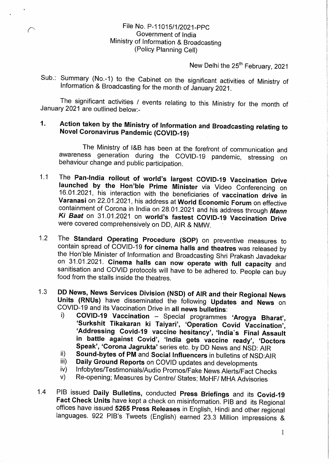## File No. P-11015/1/2021-PPC Government of India Ministry of Information & Broadcasting (Policy Planning Cell)

New Delhi the 25<sup>th</sup> February, 2021

Sub.: Summary (No.-1) to the Cabinet on the significant activities of Ministry of Information & Broadcasting for the month of January 2021.

The significant activities / events relating to this Ministry for the month of January 2021 are outlined below:-

## 1. Action taken by the Ministry of Information and Broadcasting relating to Novel Coronavirus Pandemic (COVID-19) \_~ '

The Ministry of I&B has been at the forefront of communication and awareness generation during the COVID-19 pandemic, stressing on behaviour change and public participation.

- 1.1 The Pan-India rollout of world's largest COVID-19 Vaccination Drive launched by the Hon'ble Prime Minister via Video Conferencing on 16.01.2021, his interaction with the beneficiaries of vaccination drive in Varanasi on 22.01.2021, his address at World Economic Forum on effective containment of Corona in India on 28.01.2021 and his address through Mann Ki Baat on 31.01.2021 on worId's fastest COVID-19 Vaccination Drive were covered comprehensively on DD, AIR & NMW.
- 1.2 The Standard Operating Procedure (SOP) on preventive measures to contain spread of COVID-19 for cinema halls and theatres was released by the Hon'ble Minister of Information and Broadcasting Shri Prakash Javadekar on 31.01.2021. Cinema halls can now operate with full capacity and sanitisation and COVID protocols will have to be adhered to. People can buy food from the stalls inside the theatres.
- 1.3 DD News, News Services Division (NSD) of AIR and their Regional News Units (RNUs) have disseminated the following Updates and News on COVID-19 and its Vaccination Drive in all news bulletins: .
	- i) COVID-19 Vaccination Special programmes 'Arogya Bharat', 'Surkshit Tikakaran ki Taiyari', 'Operation Covid Vaccination', 'Addressing Covid-19 vaccine hesitancy', 'lndia's Final Assault in battle against Covid', 'India gets vaccine ready', 'Doctors Speak', 'Corona Jagrukta' series etc. by DD News and NSD: AIR
	- ii) Sound-bytes of PM and Social lnfluencers in bulletins of NSD:AlR
	- iii) Daily Ground Reports on COVID updates and developments
	- iv) Infobytes/Testimonials/Audio Promos/Fake News Alerts/Fact Checks
	- v) Re-opening; Measures by Centrel States; MoHF/ MHA Advisories
- 1.4 PIB issued Daily Bulletins, conducted Press Briefings and its Covid-19 Fact Check Units have kept a check on misinformation. PIB and its Regional offices have issued 5265 Press Releases in English, Hindi and other regional languages. 922 PlB's Tweets (English) earned 23.3 Million impressions &

1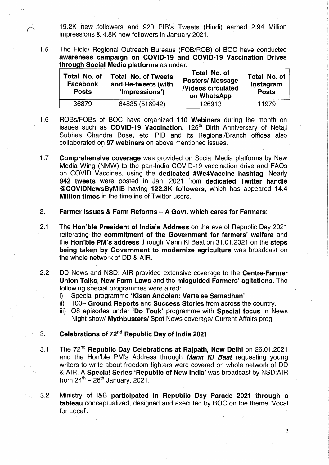19.2K new followers and 920 PIB's Tweets (Hindi) earned 2.94 Million impressions & 4.8K new followers in January 2021.

 $1.5$ The Field/ Regional Outreach Bureaus (FOB/ROB) of BOC have conducted awareness campaign on COVID-19 and COVID-19 Vaccination Drives through Social Media platforms as under:

| Total No. of<br>Facebook<br><b>Posts</b> | <b>Total No. of Tweets</b><br>and Re-tweets (with<br>'Impressions') | Total No. of<br><b>Posters/Message</b><br><b>Nideos circulated</b><br>on WhatsApp | Total No. of<br>Instagram<br><b>Posts</b> |
|------------------------------------------|---------------------------------------------------------------------|-----------------------------------------------------------------------------------|-------------------------------------------|
| 36879                                    | 64835 (516942)                                                      | 126913                                                                            | 11979                                     |

- $1.6$ ROBs/FOBs of BOC have organized 110.Webinars during the month on issues such as COVID-19 Vaccination, 125<sup>th</sup> Birth Anniversary of Netaji Subhas Chandra Bose, etc. PIB and its Regional/Branch offices also collaborated on 97 webinars on above mentioned issues.
- $1.7$ Comprehensive coverage was provided on Social Media platforms by New Media Wing (NMW) to the pan-India COVID-19 vaccination drive and FAQs on COVID Vaccines, using the dedicated #We4Vaccine hashtag. Nearly 942 tweets were posted in Jan. 2021 from dedicated Twitter handle @COVIDNewsByMlB having 122.3K followers, which has appeared 14.4 Million times in the timeline of Twitter users.
- $2.$ Farmer Issues & Farm Reforms - <sup>A</sup> Govt. which cares for Farmers:
- $2.1$ The Hon'ble President of lndia's Address on the eve of Republic Day 2021 reiterating the commitment of the Government for farmers' welfare and the Hon'ble PM's address through Mann Ki Baat on 31.01.2021 on the steps being taken by Government to modernize agriculture was broadcast on the whole network of DD & AIR.
- $2.2$ DD News and NSD: AIR provided extensive coverage to the Centre-Farmer Union Talks, New Farm Laws and the misguided Farmers' agitations. The following special programmes were aired:
	- i) Special programme 'Kisan Andolan: Varta se Samadhan'
	- ii) 100+ Ground Reports and Success Stories from across the country.
	- iii) O8 episodes under 'Do Touk' programme with Special focus in News Night show/ Mythbusters/ Spot News coverage/ Current Affairs prog.
- Celebrations of 72"" Republic Day of India 2021 ' 3.
- The 72<sup>nd</sup> Republic Day Celebrations at Rajpath, New Delhi on 26.01.2021  $3.1$ and the Hon'ble PM's Address through Mann Ki Baat requesting young writers to. write about freedom fighters were covered on whole network of DD & AIR. A Special Series 'Republic of New India' was broadcast by NSD:AlR from  $24^{th} - 26^{th}$  January, 2021.

Ministry of I&B participated in Republic Day Parade 2021 through a  $3.2$ tableau conceptualized, designed and executed by BOC on the theme 'Vocal for Local'.

<sup>~</sup> <sup>1</sup> . ' -

r1

I

t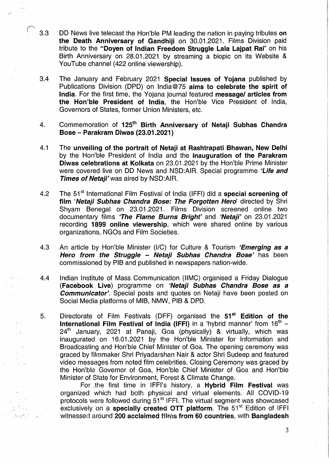- $3.3$ DD News live telecast the Hon'ble PM leading the nation in paying tributes on the Death Anniversary of Gandhiji on 30.01.2021. Films Division paid tribute to the "Doyen of Indian Freedom Struggle Lala Laipat Rai" on his Birth Anniversary on 28.01.2021 by streaming a biopic on its Website & YouTube channel (422 online viewership).
- $3.4$ The January and February 2021 Special Issues of Yojana published by Publications Division. (DPD) on lndia@75 aims to celebrate the spirit of India. For the first time, the Yojana journal featured message/ articles from the Hon'ble President of India, the Hon'ble Vice President of India, Governors of States, former Union Ministers, etc.
- $\overline{4}$ . Commemoration of 125<sup>th</sup> Birth Anniversary of Netail Subhas Chandra Bose — Parakram Diwas (23.01.2021)
- $4.1$ The unveiling of the portrait of Netaji at Rashtrapati Bhawan, New Delhi by the Hon'ble President of India and the inauguration of the Parakram Diwas celebrations at Kolkata on 23.01 .2021 by the Hon'ble Prime Minister were covered live on DD News and NSD:AIR. Special programme 'Life and Times of Netaji' was aired by NSD:AIR.
- $4.2$ The 51<sup>st</sup> International Film Festival of India (IFFI) did a **special screening of** film 'Netaji Subhas Chandra Bose: The Forgotten Hero' directed by Shri Shyam Benegal on 23.01.2021. Films Division screened online two documentary films. 'The Flame Burns Bright' and 'Netaji' on 23.01.2021 recording 1899 online viewership, which were shared online by various organizations, NGOs and Film Societies.
- 4.3 An article by Hon'ble Minister (I/C) for Culture & Tourism 'Emerging as a Hero from the Struggle - Netaji Subhas Chandra Bose' has been commissioned by PIB and published in newspapers nation-wide.
- $4.4$ Indian Institute of Mass Communication (IIMC) organised a Friday Dialogue (Facebook Live) programme on 'Netaji Subhas Chandra Bose as a **Communicator'.** Special posts and quotes on Netaji have been posted on Social Media platforms of MIB, NMW, PIB & DPD.
- Directorate of Film Festivals (DFF) organised the 51<sup>st</sup> Edition of the  $5.$ **International Film Festival of India (IFFI)** in a 'hybrid manner' from  $16<sup>th</sup>$  – 24<sup>th</sup> January, 2021 at Panaji, Goa (physically) & virtually, which was inaugurated on 16.01.2021 by the Hon'ble Minister for Information and Broadcasting and Hon'ble Chief Minister of Goa. The opening ceremony was graced by filmmaker Shri Priyadarshan Nair & actor Shri Sudeep and featured video messages from noted film celebrities. Closing Ceremony was graced by the Hon;'ble.Governor'of Goa, Hon'ble Chief Minister of Goaiand Hon'ble Minister of State for Environment, Forest & Climate Change.

e kal

かたの  $\mathcal{A}\in\mathbb{C}^{n\times n}$  ,  $\mathbb{C}^n$ 

For the first time in IFFI's history, a Hybrid Film Festival was organized which had both physical and virtual elements: All COVID-19 protocols were followed during 51<sup>st</sup> IFFI. The virtual segment was showcased exclusively on a specially created OTT platform. The  $51<sup>st</sup>$  Edition of IFFI witnessed around 200 acclaimed films from 60 countries, with Bangladesh

 $\sim$  3

I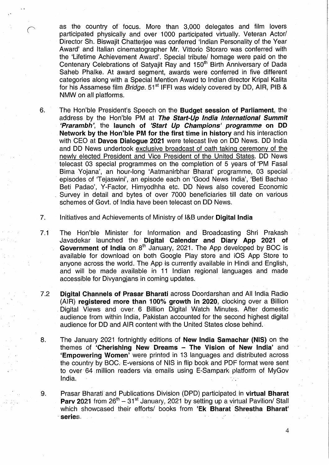as the country of focus. More than 3,000 delegates and film lovers participated physically and over 1000 participated virtually. Veteran Actor/ Director Sh. Biswajit Chatterjee was conferred 'Indian Personality of the Year Award' and Italian cinematographer Mr. Vittorio Storaro was conferred with the 'Lifetime Achievement Award'. Special tribute/ homage were paid on the Centenary Celebrations of Satyajit Ray and 150"" Birth Anniversary of Dada Saheb Phalke. At award segment, awards were conferred in five different categories along with a Special Mention Award to Indian director Kripal Kalita for his Assamese film *Bridge.*  $51<sup>st</sup>$  IFFI was widely covered by DD, AIR, PIB & NMW on all platforms.

- 6. The Hon'ble President's Speech on the Budget session of Parliament, the address by the Hon'ble PM at The Start-Up India International Summit 'Prarambh', the launch of 'Start Up Champions' programme on DD Network by the Hon'ble PM for the first time in history and his interaction with CEO at Davos Dialoque 2021 were telecast live on DD News. DD India and DD News undertook exclusive broadcast of oath taking ceremony of the newly elected President and Vice President of the United States. DD News telecast 03 special programmes on the completion of 5 years of 'PM Fasal Bima»Yojana', an hour-long 'Aatmanirbhar Bharat' programme, 03 special episodes of 'Tejaswini', an episode each on 'Good News India', 'Beti Bachao Beti Padao', Y-Factor, Himyodhha etc. DD News also covered Economic Survey in detail and bytes of over 7000 beneficiaries till date on various schemes of Govt. of India have been telecast on DD News.
- 7. Initiatives and Achievements of Ministry of I&B under Digital India
- $7.1$ The Hon'ble Minister for Information and Broadcasting Shri Prakash Javadekar launched the Digital Calendar and Diary App 2021 of Government of India on 8<sup>th</sup> January, 2021. The App developed by BOC is available for download on both Google, Play store, and IOS App Store to anyone across the world. The App is currently available in Hindi and English, and will be made available in 11 Indian regional languages and made accessible for Divyangians in coming updates.
- Digital Channels of Prasar Bharati across Doordarshan and All India Radio  $7.2$ (AIR) registered more than 100% growth in 2020, clocking over a. Billion Digital Views and over 6 Billion Digital Watch Minutes. After domestic audience from within India, Pakistan accounted for the second highest digital audience for DD and AIR content with the United States close behind.
- The January 2021 fortnightly editions of New India Samachar (NIS) on the 8. themes of 'Cherishing New Dreams - The Vision of New India' and 'Empowering Women' were printed in 13 languages and distributed across the country by BOC. E-versions of NIS in flip book and PDF format were sent to over 64 million readers via emails using E-Sampark platform of MyGov India. <sup>~</sup> <sup>I</sup> <sup>I</sup> '

 $\bullet$  . The contract of the contract of the contract of the contract of the contract of the contract of the contract of the contract of the contract of the contract of the contract of the contract of the contract of the co

Prasar Bharati and Publications Division (DPD) participated in virtual Bharat 9. Parv 2021 from  $26<sup>th</sup> - 31<sup>st</sup>$  January, 2021 by setting up a virtual Pavilion/ Stall which showcased their efforts/ books from 'Ek Bharat' Shrestha Bharat' series. . <sup>~</sup> - <sup>~</sup> " ~~ <sup>I</sup> <sup>A</sup> " » <sup>1</sup>

4

I.I